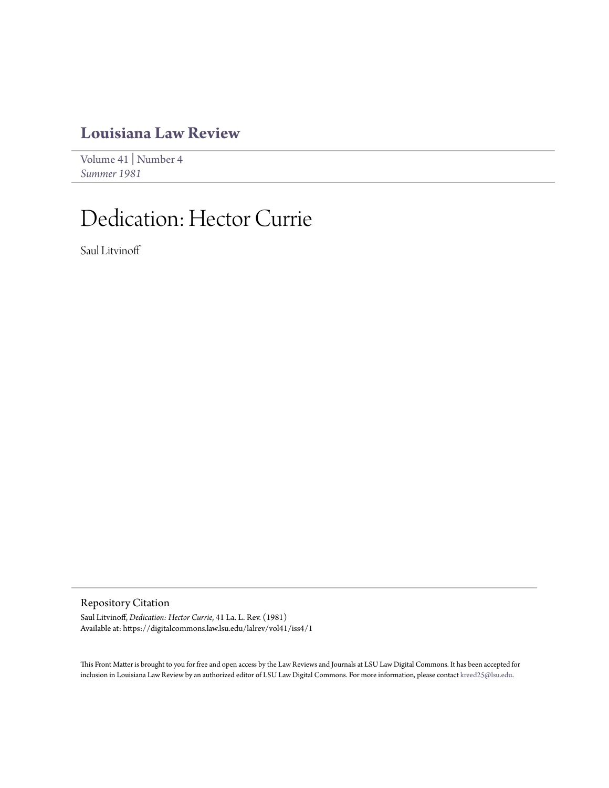## **[Louisiana Law Review](https://digitalcommons.law.lsu.edu/lalrev)**

[Volume 41](https://digitalcommons.law.lsu.edu/lalrev/vol41) | [Number 4](https://digitalcommons.law.lsu.edu/lalrev/vol41/iss4) *[Summer 1981](https://digitalcommons.law.lsu.edu/lalrev/vol41/iss4)*

## Dedication: Hector Currie

Saul Litvinoff

Repository Citation

Saul Litvinoff, *Dedication: Hector Currie*, 41 La. L. Rev. (1981) Available at: https://digitalcommons.law.lsu.edu/lalrev/vol41/iss4/1

This Front Matter is brought to you for free and open access by the Law Reviews and Journals at LSU Law Digital Commons. It has been accepted for inclusion in Louisiana Law Review by an authorized editor of LSU Law Digital Commons. For more information, please contact [kreed25@lsu.edu](mailto:kreed25@lsu.edu).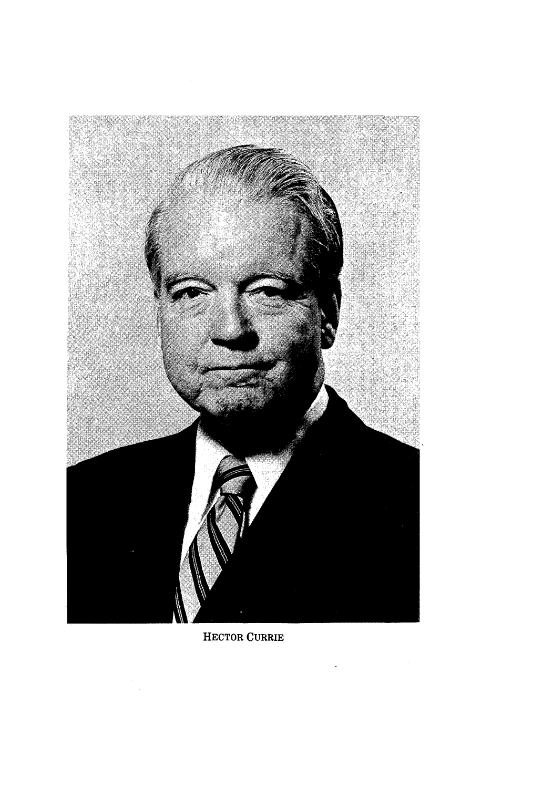

HECTOR CURRIE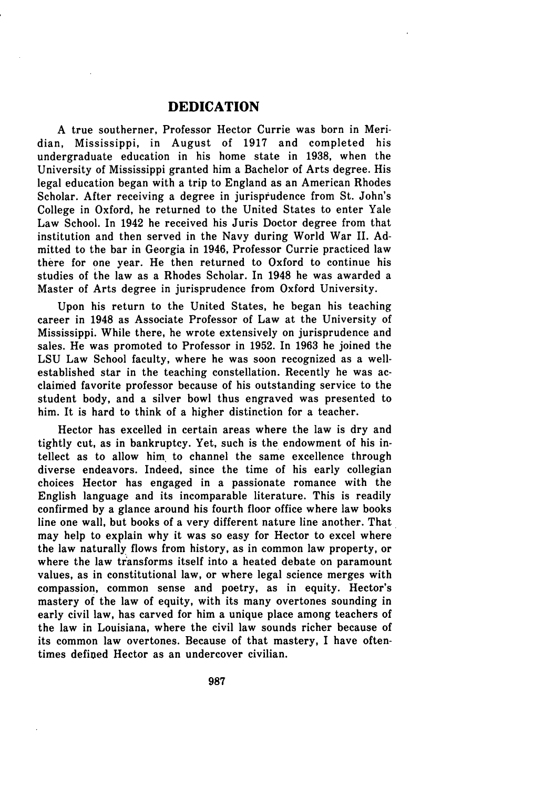## **DEDICATION**

**A** true southerner, Professor Hector Currie was born in Meridian, Mississippi, in August of **1917** and completed his undergraduate education in his home state in **1938,** when the University of Mississippi granted him a Bachelor of Arts degree. His legal education began with a trip to England as an American Rhodes Scholar. After receiving a degree in jurisprudence from St. John's College in Oxford, he returned to the United States to enter Yale Law School. In 1942 he received his Juris Doctor degree from that institution and then served in the Navy during World War II. **Ad**mitted to the bar in Georgia in 1946, Professor Currie practiced law there for one year. He then returned to Oxford to continue his studies of the law as a Rhodes Scholar. In 1948 he was awarded a Master of Arts degree in jurisprudence from Oxford University.

Upon his return to the United States, he began his teaching career in 1948 as Associate Professor of Law at the University of Mississippi. While there, he wrote extensively on jurisprudence and sales. He was promoted to Professor in **1952.** In **1963** he joined the **LSU** Law School faculty, where he was soon recognized as a wellestablished star in the teaching constellation. Recently he was acclaimed favorite professor because of his outstanding service to the student body, and a silver bowl thus engraved was presented to him. It is hard to think of a higher distinction for a teacher.

Hector has excelled in certain areas where the law is dry and tightly cut, as in bankruptcy. Yet, such is the endowment of his intellect as to allow him to channel the same excellence through diverse endeavors. Indeed, since the time of his early collegian choices Hector has engaged in a passionate romance with the English language and its incomparable literature. This is readily confirmed **by** a glance around his fourth floor office where law books line one wall, but books of a very different nature line another. That may help to explain why it was so easy for Hector to excel where the law naturally flows from history, as in common law property, or where the law transforms itself into a heated debate on paramount values, as in constitutional law, or where legal science merges with compassion, common sense and poetry, as in equity. Hector's mastery of the law of equity, with its many overtones sounding in early civil law, has carved for him a unique place among teachers of the law in Louisiana, where the civil law sounds richer because of its common law overtones. Because of that mastery, I have oftentimes defined Hector as an undercover civilian.